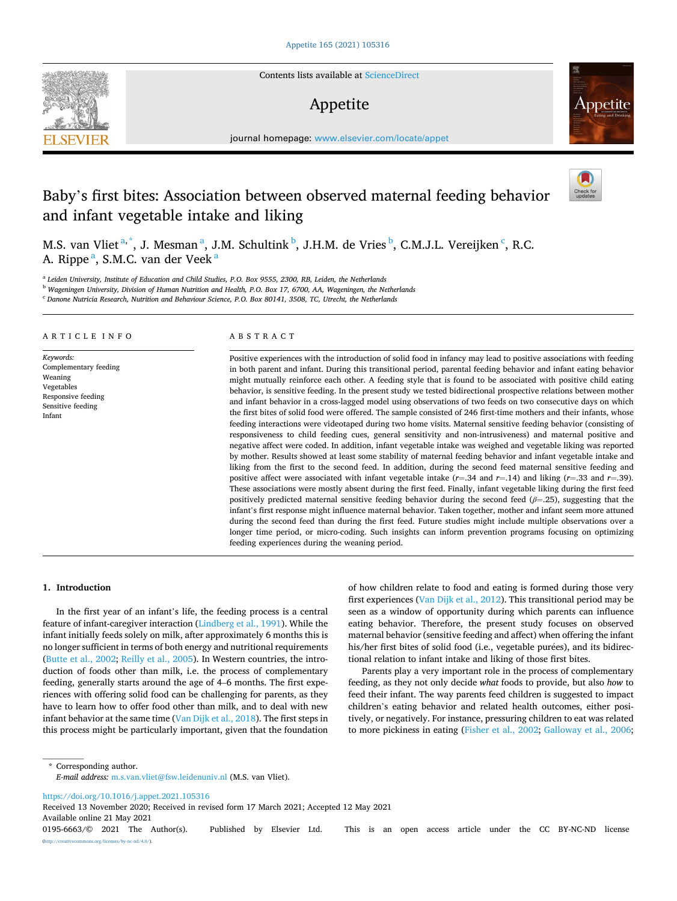Contents lists available at [ScienceDirect](www.sciencedirect.com/science/journal/01956663)

# Appetite

journal homepage: [www.elsevier.com/locate/appet](https://www.elsevier.com/locate/appet) 

# Baby's first bites: Association between observed maternal feeding behavior and infant vegetable intake and liking

M.S. van Vliet<sup>a,\*</sup>, J. Mesman<sup>a</sup>, J.M. Schultink b, J.H.M. de Vries b, C.M.J.L. Vereijken <sup>c</sup>, R.C. A. Rippe<sup>a</sup>, S.M.C. van der Veek<sup>a</sup>

<sup>a</sup> *Leiden University, Institute of Education and Child Studies, P.O. Box 9555, 2300, RB, Leiden, the Netherlands* 

<sup>b</sup> *Wageningen University, Division of Human Nutrition and Health, P.O. Box 17, 6700, AA, Wageningen, the Netherlands* 

<sup>c</sup> *Danone Nutricia Research, Nutrition and Behaviour Science, P.O. Box 80141, 3508, TC, Utrecht, the Netherlands* 

## ARTICLE INFO

*Keywords:*  Complementary feeding Weaning Vegetables Responsive feeding Sensitive feeding Infant

# ABSTRACT

Positive experiences with the introduction of solid food in infancy may lead to positive associations with feeding in both parent and infant. During this transitional period, parental feeding behavior and infant eating behavior might mutually reinforce each other. A feeding style that is found to be associated with positive child eating behavior, is sensitive feeding. In the present study we tested bidirectional prospective relations between mother and infant behavior in a cross-lagged model using observations of two feeds on two consecutive days on which the first bites of solid food were offered. The sample consisted of 246 first-time mothers and their infants, whose feeding interactions were videotaped during two home visits. Maternal sensitive feeding behavior (consisting of responsiveness to child feeding cues, general sensitivity and non-intrusiveness) and maternal positive and negative affect were coded. In addition, infant vegetable intake was weighed and vegetable liking was reported by mother. Results showed at least some stability of maternal feeding behavior and infant vegetable intake and liking from the first to the second feed. In addition, during the second feed maternal sensitive feeding and positive affect were associated with infant vegetable intake  $(r=.34$  and  $r=.14$ ) and liking  $(r=.33$  and  $r=.39$ ). These associations were mostly absent during the first feed. Finally, infant vegetable liking during the first feed positively predicted maternal sensitive feeding behavior during the second feed (*β*=.25), suggesting that the infant's first response might influence maternal behavior. Taken together, mother and infant seem more attuned during the second feed than during the first feed. Future studies might include multiple observations over a longer time period, or micro-coding. Such insights can inform prevention programs focusing on optimizing feeding experiences during the weaning period.

#### **1. Introduction**

In the first year of an infant's life, the feeding process is a central feature of infant-caregiver interaction ([Lindberg et al., 1991\)](#page-9-0). While the infant initially feeds solely on milk, after approximately 6 months this is no longer sufficient in terms of both energy and nutritional requirements ([Butte et al., 2002](#page-8-0); [Reilly et al., 2005\)](#page-9-0). In Western countries, the introduction of foods other than milk, i.e. the process of complementary feeding, generally starts around the age of 4–6 months. The first experiences with offering solid food can be challenging for parents, as they have to learn how to offer food other than milk, and to deal with new infant behavior at the same time [\(Van Dijk et al., 2018](#page-9-0)). The first steps in this process might be particularly important, given that the foundation

of how children relate to food and eating is formed during those very first experiences ([Van Dijk et al., 2012\)](#page-9-0). This transitional period may be seen as a window of opportunity during which parents can influence eating behavior. Therefore, the present study focuses on observed maternal behavior (sensitive feeding and affect) when offering the infant his/her first bites of solid food (i.e., vegetable purées), and its bidirectional relation to infant intake and liking of those first bites.

Parents play a very important role in the process of complementary feeding, as they not only decide *what* foods to provide, but also *how* to feed their infant. The way parents feed children is suggested to impact children's eating behavior and related health outcomes, either positively, or negatively. For instance, pressuring children to eat was related to more pickiness in eating ([Fisher et al., 2002;](#page-9-0) [Galloway et al., 2006](#page-9-0);

\* Corresponding author. *E-mail address:* [m.s.van.vliet@fsw.leidenuniv.nl](mailto:m.s.van.vliet@fsw.leidenuniv.nl) (M.S. van Vliet).

<https://doi.org/10.1016/j.appet.2021.105316>

Available online 21 May 2021 Received 13 November 2020; Received in revised form 17 March 2021; Accepted 12 May 2021

0195-6663/© 2021 The Author(s). Published by Elsevier Ltd. This is an open access article under the CC BY-NC-ND license [\(http://creativecommons.org/licenses/by-nc-nd/4.0/\)](http://creativecommons.org/licenses/by-nc-nd/4.0/).



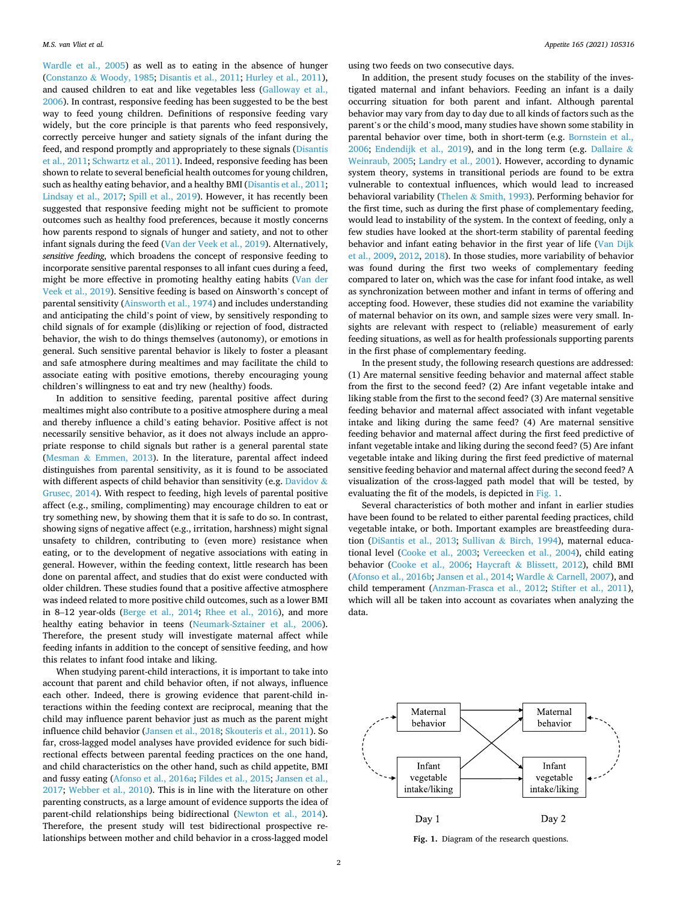[Wardle et al., 2005](#page-9-0)) as well as to eating in the absence of hunger (Constanzo & [Woody, 1985;](#page-8-0) [Disantis et al., 2011; Hurley et al., 2011](#page-9-0)), and caused children to eat and like vegetables less [\(Galloway et al.,](#page-9-0)  [2006\)](#page-9-0). In contrast, responsive feeding has been suggested to be the best way to feed young children. Definitions of responsive feeding vary widely, but the core principle is that parents who feed responsively, correctly perceive hunger and satiety signals of the infant during the feed, and respond promptly and appropriately to these signals ([Disantis](#page-9-0)  [et al., 2011](#page-9-0); [Schwartz et al., 2011](#page-9-0)). Indeed, responsive feeding has been shown to relate to several beneficial health outcomes for young children, such as healthy eating behavior, and a healthy BMI [\(Disantis et al., 2011](#page-9-0); [Lindsay et al., 2017;](#page-9-0) [Spill et al., 2019](#page-9-0)). However, it has recently been suggested that responsive feeding might not be sufficient to promote outcomes such as healthy food preferences, because it mostly concerns how parents respond to signals of hunger and satiety, and not to other infant signals during the feed ([Van der Veek et al., 2019](#page-9-0)). Alternatively, *sensitive feeding*, which broadens the concept of responsive feeding to incorporate sensitive parental responses to all infant cues during a feed, might be more effective in promoting healthy eating habits [\(Van der](#page-9-0)  [Veek et al., 2019](#page-9-0)). Sensitive feeding is based on Ainsworth's concept of parental sensitivity [\(Ainsworth et al., 1974](#page-8-0)) and includes understanding and anticipating the child's point of view, by sensitively responding to child signals of for example (dis)liking or rejection of food, distracted behavior, the wish to do things themselves (autonomy), or emotions in general. Such sensitive parental behavior is likely to foster a pleasant and safe atmosphere during mealtimes and may facilitate the child to associate eating with positive emotions, thereby encouraging young children's willingness to eat and try new (healthy) foods.

In addition to sensitive feeding, parental positive affect during mealtimes might also contribute to a positive atmosphere during a meal and thereby influence a child's eating behavior. Positive affect is not necessarily sensitive behavior, as it does not always include an appropriate response to child signals but rather is a general parental state (Mesman & [Emmen, 2013\)](#page-9-0). In the literature, parental affect indeed distinguishes from parental sensitivity, as it is found to be associated with different aspects of child behavior than sensitivity (e.g. [Davidov](#page-8-0)  $\&$ [Grusec, 2014](#page-8-0)). With respect to feeding, high levels of parental positive affect (e.g., smiling, complimenting) may encourage children to eat or try something new, by showing them that it is safe to do so. In contrast, showing signs of negative affect (e.g., irritation, harshness) might signal unsafety to children, contributing to (even more) resistance when eating, or to the development of negative associations with eating in general. However, within the feeding context, little research has been done on parental affect, and studies that do exist were conducted with older children. These studies found that a positive affective atmosphere was indeed related to more positive child outcomes, such as a lower BMI in 8–12 year-olds [\(Berge et al., 2014;](#page-8-0) [Rhee et al., 2016\)](#page-9-0), and more healthy eating behavior in teens ([Neumark-Sztainer et al., 2006](#page-9-0)). Therefore, the present study will investigate maternal affect while feeding infants in addition to the concept of sensitive feeding, and how this relates to infant food intake and liking.

When studying parent-child interactions, it is important to take into account that parent and child behavior often, if not always, influence each other. Indeed, there is growing evidence that parent-child interactions within the feeding context are reciprocal, meaning that the child may influence parent behavior just as much as the parent might influence child behavior [\(Jansen et al., 2018; Skouteris et al., 2011\)](#page-9-0). So far, cross-lagged model analyses have provided evidence for such bidirectional effects between parental feeding practices on the one hand, and child characteristics on the other hand, such as child appetite, BMI and fussy eating ([Afonso et al., 2016a;](#page-8-0) [Fildes et al., 2015](#page-9-0); [Jansen et al.,](#page-9-0)  [2017; Webber et al., 2010](#page-9-0)). This is in line with the literature on other parenting constructs, as a large amount of evidence supports the idea of parent-child relationships being bidirectional ([Newton et al., 2014](#page-9-0)). Therefore, the present study will test bidirectional prospective relationships between mother and child behavior in a cross-lagged model

using two feeds on two consecutive days.

In addition, the present study focuses on the stability of the investigated maternal and infant behaviors. Feeding an infant is a daily occurring situation for both parent and infant. Although parental behavior may vary from day to day due to all kinds of factors such as the parent's or the child's mood, many studies have shown some stability in parental behavior over time, both in short-term (e.g. [Bornstein et al.,](#page-8-0)  [2006;](#page-8-0) [Endendijk et al., 2019\)](#page-9-0), and in the long term (e.g. [Dallaire](#page-8-0) & [Weinraub, 2005;](#page-8-0) [Landry et al., 2001](#page-9-0)). However, according to dynamic system theory, systems in transitional periods are found to be extra vulnerable to contextual influences, which would lead to increased behavioral variability (Thelen & [Smith, 1993](#page-9-0)). Performing behavior for the first time, such as during the first phase of complementary feeding, would lead to instability of the system. In the context of feeding, only a few studies have looked at the short-term stability of parental feeding behavior and infant eating behavior in the first year of life [\(Van Dijk](#page-9-0)  [et al., 2009, 2012](#page-9-0), [2018\)](#page-9-0). In those studies, more variability of behavior was found during the first two weeks of complementary feeding compared to later on, which was the case for infant food intake, as well as synchronization between mother and infant in terms of offering and accepting food. However, these studies did not examine the variability of maternal behavior on its own, and sample sizes were very small. Insights are relevant with respect to (reliable) measurement of early feeding situations, as well as for health professionals supporting parents in the first phase of complementary feeding.

In the present study, the following research questions are addressed: (1) Are maternal sensitive feeding behavior and maternal affect stable from the first to the second feed? (2) Are infant vegetable intake and liking stable from the first to the second feed? (3) Are maternal sensitive feeding behavior and maternal affect associated with infant vegetable intake and liking during the same feed? (4) Are maternal sensitive feeding behavior and maternal affect during the first feed predictive of infant vegetable intake and liking during the second feed? (5) Are infant vegetable intake and liking during the first feed predictive of maternal sensitive feeding behavior and maternal affect during the second feed? A visualization of the cross-lagged path model that will be tested, by evaluating the fit of the models, is depicted in Fig. 1.

Several characteristics of both mother and infant in earlier studies have been found to be related to either parental feeding practices, child vegetable intake, or both. Important examples are breastfeeding duration ([DiSantis et al., 2013;](#page-9-0) Sullivan & [Birch, 1994\)](#page-9-0), maternal educational level [\(Cooke et al., 2003;](#page-8-0) [Vereecken et al., 2004\)](#page-9-0), child eating behavior [\(Cooke et al., 2006](#page-8-0); Haycraft & [Blissett, 2012\)](#page-9-0), child BMI ([Afonso et al., 2016b;](#page-8-0) [Jansen et al., 2014;](#page-9-0) Wardle & [Carnell, 2007](#page-9-0)), and child temperament ([Anzman-Frasca et al., 2012;](#page-8-0) [Stifter et al., 2011](#page-9-0)), which will all be taken into account as covariates when analyzing the data.



**Fig. 1.** Diagram of the research questions.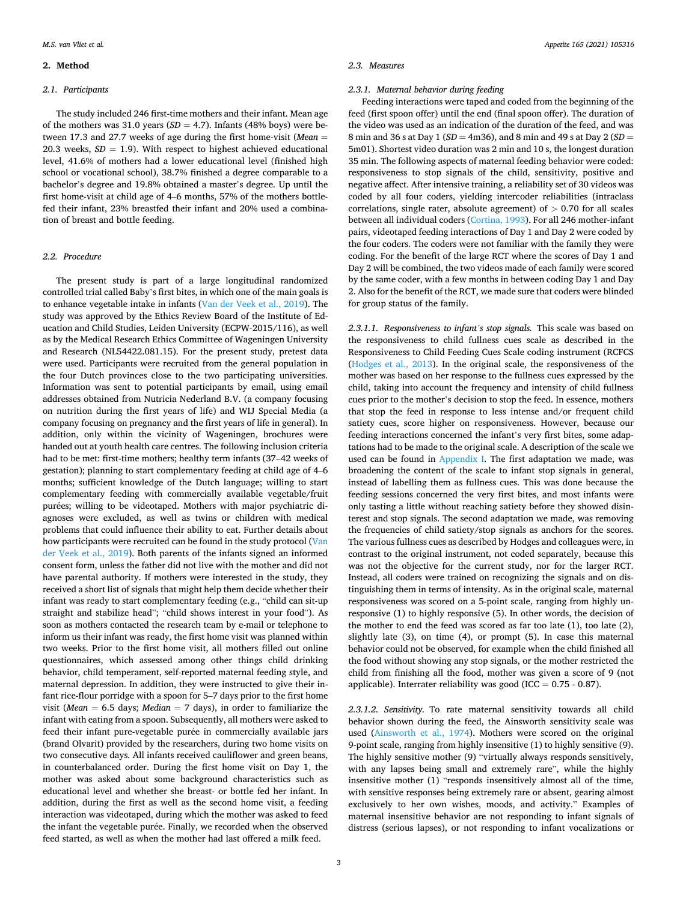#### **2. Method**

#### *2.1. Participants*

The study included 246 first-time mothers and their infant. Mean age of the mothers was 31.0 years  $(SD = 4.7)$ . Infants (48% boys) were between 17.3 and 27.7 weeks of age during the first home-visit (*Mean* = 20.3 weeks,  $SD = 1.9$ ). With respect to highest achieved educational level, 41.6% of mothers had a lower educational level (finished high school or vocational school), 38.7% finished a degree comparable to a bachelor's degree and 19.8% obtained a master's degree. Up until the first home-visit at child age of 4–6 months, 57% of the mothers bottlefed their infant, 23% breastfed their infant and 20% used a combination of breast and bottle feeding.

# *2.2. Procedure*

The present study is part of a large longitudinal randomized controlled trial called Baby's first bites, in which one of the main goals is to enhance vegetable intake in infants ([Van der Veek et al., 2019\)](#page-9-0). The study was approved by the Ethics Review Board of the Institute of Education and Child Studies, Leiden University (ECPW-2015/116), as well as by the Medical Research Ethics Committee of Wageningen University and Research (NL54422.081.15). For the present study, pretest data were used. Participants were recruited from the general population in the four Dutch provinces close to the two participating universities. Information was sent to potential participants by email, using email addresses obtained from Nutricia Nederland B.V. (a company focusing on nutrition during the first years of life) and WIJ Special Media (a company focusing on pregnancy and the first years of life in general). In addition, only within the vicinity of Wageningen, brochures were handed out at youth health care centres. The following inclusion criteria had to be met: first-time mothers; healthy term infants (37–42 weeks of gestation); planning to start complementary feeding at child age of 4–6 months; sufficient knowledge of the Dutch language; willing to start complementary feeding with commercially available vegetable/fruit purées; willing to be videotaped. Mothers with major psychiatric diagnoses were excluded, as well as twins or children with medical problems that could influence their ability to eat. Further details about how participants were recruited can be found in the study protocol ([Van](#page-9-0)  [der Veek et al., 2019](#page-9-0)). Both parents of the infants signed an informed consent form, unless the father did not live with the mother and did not have parental authority. If mothers were interested in the study, they received a short list of signals that might help them decide whether their infant was ready to start complementary feeding (e.g., "child can sit-up straight and stabilize head"; "child shows interest in your food"). As soon as mothers contacted the research team by e-mail or telephone to inform us their infant was ready, the first home visit was planned within two weeks. Prior to the first home visit, all mothers filled out online questionnaires, which assessed among other things child drinking behavior, child temperament, self-reported maternal feeding style, and maternal depression. In addition, they were instructed to give their infant rice-flour porridge with a spoon for 5–7 days prior to the first home visit (*Mean* = 6.5 days; *Median* = 7 days), in order to familiarize the infant with eating from a spoon. Subsequently, all mothers were asked to feed their infant pure-vegetable purée in commercially available jars (brand Olvarit) provided by the researchers, during two home visits on two consecutive days. All infants received cauliflower and green beans, in counterbalanced order. During the first home visit on Day 1, the mother was asked about some background characteristics such as educational level and whether she breast- or bottle fed her infant. In addition, during the first as well as the second home visit, a feeding interaction was videotaped, during which the mother was asked to feed the infant the vegetable purée. Finally, we recorded when the observed feed started, as well as when the mother had last offered a milk feed.

#### *2.3. Measures*

#### *2.3.1. Maternal behavior during feeding*

Feeding interactions were taped and coded from the beginning of the feed (first spoon offer) until the end (final spoon offer). The duration of the video was used as an indication of the duration of the feed, and was 8 min and 36 s at Day 1 (*SD* = 4m36), and 8 min and 49 s at Day 2 (*SD* = 5m01). Shortest video duration was 2 min and 10 s, the longest duration 35 min. The following aspects of maternal feeding behavior were coded: responsiveness to stop signals of the child, sensitivity, positive and negative affect. After intensive training, a reliability set of 30 videos was coded by all four coders, yielding intercoder reliabilities (intraclass correlations, single rater, absolute agreement) of *>* 0.70 for all scales between all individual coders [\(Cortina, 1993](#page-8-0)). For all 246 mother-infant pairs, videotaped feeding interactions of Day 1 and Day 2 were coded by the four coders. The coders were not familiar with the family they were coding. For the benefit of the large RCT where the scores of Day 1 and Day 2 will be combined, the two videos made of each family were scored by the same coder, with a few months in between coding Day 1 and Day 2. Also for the benefit of the RCT, we made sure that coders were blinded for group status of the family.

*2.3.1.1. Responsiveness to infant's stop signals.* This scale was based on the responsiveness to child fullness cues scale as described in the Responsiveness to Child Feeding Cues Scale coding instrument (RCFCS ([Hodges et al., 2013\)](#page-9-0). In the original scale, the responsiveness of the mother was based on her response to the fullness cues expressed by the child, taking into account the frequency and intensity of child fullness cues prior to the mother's decision to stop the feed. In essence, mothers that stop the feed in response to less intense and/or frequent child satiety cues, score higher on responsiveness. However, because our feeding interactions concerned the infant's very first bites, some adaptations had to be made to the original scale. A description of the scale we used can be found in [Appendix I](#page-8-0). The first adaptation we made, was broadening the content of the scale to infant stop signals in general, instead of labelling them as fullness cues. This was done because the feeding sessions concerned the very first bites, and most infants were only tasting a little without reaching satiety before they showed disinterest and stop signals. The second adaptation we made, was removing the frequencies of child satiety/stop signals as anchors for the scores. The various fullness cues as described by Hodges and colleagues were, in contrast to the original instrument, not coded separately, because this was not the objective for the current study, nor for the larger RCT. Instead, all coders were trained on recognizing the signals and on distinguishing them in terms of intensity. As in the original scale, maternal responsiveness was scored on a 5-point scale, ranging from highly unresponsive (1) to highly responsive (5). In other words, the decision of the mother to end the feed was scored as far too late (1), too late (2), slightly late (3), on time (4), or prompt (5). In case this maternal behavior could not be observed, for example when the child finished all the food without showing any stop signals, or the mother restricted the child from finishing all the food, mother was given a score of 9 (not applicable). Interrater reliability was good (ICC =  $0.75 - 0.87$ ).

*2.3.1.2. Sensitivity.* To rate maternal sensitivity towards all child behavior shown during the feed, the Ainsworth sensitivity scale was used ([Ainsworth et al., 1974](#page-8-0)). Mothers were scored on the original 9-point scale, ranging from highly insensitive (1) to highly sensitive (9). The highly sensitive mother (9) "virtually always responds sensitively, with any lapses being small and extremely rare", while the highly insensitive mother (1) "responds insensitively almost all of the time, with sensitive responses being extremely rare or absent, gearing almost exclusively to her own wishes, moods, and activity." Examples of maternal insensitive behavior are not responding to infant signals of distress (serious lapses), or not responding to infant vocalizations or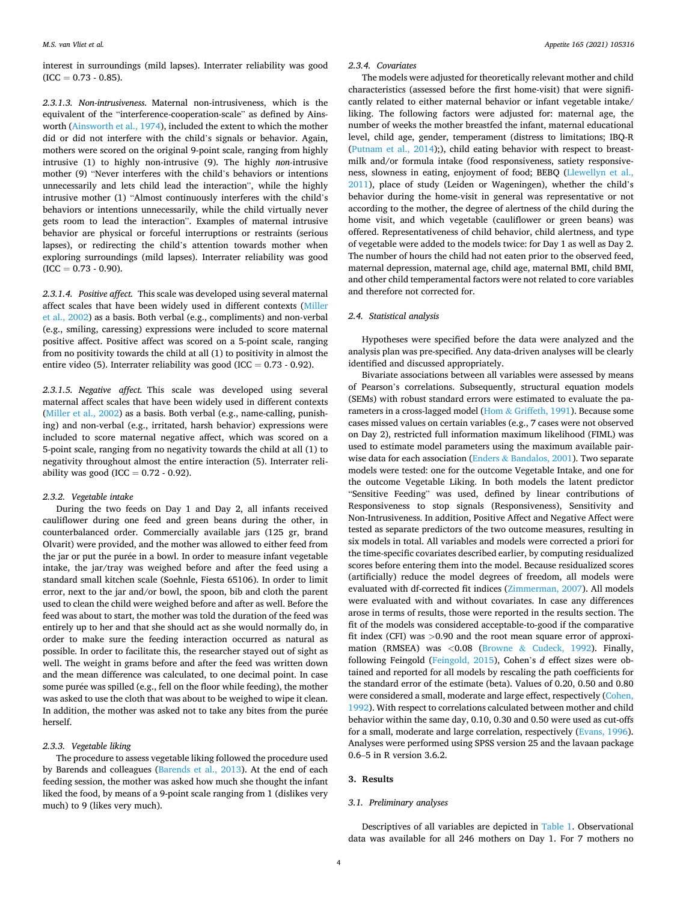interest in surroundings (mild lapses). Interrater reliability was good  $(ICC = 0.73 - 0.85).$ 

*2.3.1.3. Non-intrusiveness.* Maternal non-intrusiveness, which is the equivalent of the "interference-cooperation-scale" as defined by Ainsworth ([Ainsworth et al., 1974](#page-8-0)), included the extent to which the mother did or did not interfere with the child's signals or behavior. Again, mothers were scored on the original 9-point scale, ranging from highly intrusive (1) to highly non-intrusive (9). The highly *non-*intrusive mother (9) "Never interferes with the child's behaviors or intentions unnecessarily and lets child lead the interaction", while the highly intrusive mother (1) "Almost continuously interferes with the child's behaviors or intentions unnecessarily, while the child virtually never gets room to lead the interaction". Examples of maternal intrusive behavior are physical or forceful interruptions or restraints (serious lapses), or redirecting the child's attention towards mother when exploring surroundings (mild lapses). Interrater reliability was good  $(ICC = 0.73 - 0.90).$ 

*2.3.1.4. Positive affect.* This scale was developed using several maternal affect scales that have been widely used in different contexts ([Miller](#page-9-0)  [et al., 2002\)](#page-9-0) as a basis. Both verbal (e.g., compliments) and non-verbal (e.g., smiling, caressing) expressions were included to score maternal positive affect. Positive affect was scored on a 5-point scale, ranging from no positivity towards the child at all (1) to positivity in almost the entire video (5). Interrater reliability was good (ICC =  $0.73 - 0.92$ ).

*2.3.1.5. Negative affect.* This scale was developed using several maternal affect scales that have been widely used in different contexts ([Miller et al., 2002\)](#page-9-0) as a basis. Both verbal (e.g., name-calling, punishing) and non-verbal (e.g., irritated, harsh behavior) expressions were included to score maternal negative affect, which was scored on a 5-point scale, ranging from no negativity towards the child at all (1) to negativity throughout almost the entire interaction (5). Interrater reliability was good (ICC =  $0.72 - 0.92$ ).

#### *2.3.2. Vegetable intake*

During the two feeds on Day 1 and Day 2, all infants received cauliflower during one feed and green beans during the other, in counterbalanced order. Commercially available jars (125 gr, brand Olvarit) were provided, and the mother was allowed to either feed from the jar or put the purée in a bowl. In order to measure infant vegetable intake, the jar/tray was weighed before and after the feed using a standard small kitchen scale (Soehnle, Fiesta 65106). In order to limit error, next to the jar and/or bowl, the spoon, bib and cloth the parent used to clean the child were weighed before and after as well. Before the feed was about to start, the mother was told the duration of the feed was entirely up to her and that she should act as she would normally do, in order to make sure the feeding interaction occurred as natural as possible. In order to facilitate this, the researcher stayed out of sight as well. The weight in grams before and after the feed was written down and the mean difference was calculated, to one decimal point. In case some purée was spilled (e.g., fell on the floor while feeding), the mother was asked to use the cloth that was about to be weighed to wipe it clean. In addition, the mother was asked not to take any bites from the purée herself.

#### *2.3.3. Vegetable liking*

The procedure to assess vegetable liking followed the procedure used by Barends and colleagues [\(Barends et al., 2013](#page-8-0)). At the end of each feeding session, the mother was asked how much she thought the infant liked the food, by means of a 9-point scale ranging from 1 (dislikes very much) to 9 (likes very much).

## *2.3.4. Covariates*

The models were adjusted for theoretically relevant mother and child characteristics (assessed before the first home-visit) that were significantly related to either maternal behavior or infant vegetable intake/ liking. The following factors were adjusted for: maternal age, the number of weeks the mother breastfed the infant, maternal educational level, child age, gender, temperament (distress to limitations; IBQ-R ([Putnam et al., 2014](#page-9-0));), child eating behavior with respect to breastmilk and/or formula intake (food responsiveness, satiety responsiveness, slowness in eating, enjoyment of food; BEBQ ([Llewellyn et al.,](#page-9-0)  [2011\)](#page-9-0), place of study (Leiden or Wageningen), whether the child's behavior during the home-visit in general was representative or not according to the mother, the degree of alertness of the child during the home visit, and which vegetable (cauliflower or green beans) was offered. Representativeness of child behavior, child alertness, and type of vegetable were added to the models twice: for Day 1 as well as Day 2. The number of hours the child had not eaten prior to the observed feed, maternal depression, maternal age, child age, maternal BMI, child BMI, and other child temperamental factors were not related to core variables and therefore not corrected for.

#### *2.4. Statistical analysis*

Hypotheses were specified before the data were analyzed and the analysis plan was pre-specified. Any data-driven analyses will be clearly identified and discussed appropriately.

Bivariate associations between all variables were assessed by means of Pearson's correlations. Subsequently, structural equation models (SEMs) with robust standard errors were estimated to evaluate the parameters in a cross-lagged model (Hom & [Griffeth, 1991](#page-9-0)). Because some cases missed values on certain variables (e.g., 7 cases were not observed on Day 2), restricted full information maximum likelihood (FIML) was used to estimate model parameters using the maximum available pairwise data for each association (Enders & [Bandalos, 2001\)](#page-9-0). Two separate models were tested: one for the outcome Vegetable Intake, and one for the outcome Vegetable Liking. In both models the latent predictor "Sensitive Feeding" was used, defined by linear contributions of Responsiveness to stop signals (Responsiveness), Sensitivity and Non-Intrusiveness. In addition, Positive Affect and Negative Affect were tested as separate predictors of the two outcome measures, resulting in six models in total. All variables and models were corrected a priori for the time-specific covariates described earlier, by computing residualized scores before entering them into the model. Because residualized scores (artificially) reduce the model degrees of freedom, all models were evaluated with df-corrected fit indices ([Zimmerman, 2007](#page-9-0)). All models were evaluated with and without covariates. In case any differences arose in terms of results, those were reported in the results section. The fit of the models was considered acceptable-to-good if the comparative fit index (CFI) was *>*0.90 and the root mean square error of approximation (RMSEA) was *<*0.08 (Browne & [Cudeck, 1992](#page-8-0)). Finally, following Feingold ([Feingold, 2015\)](#page-9-0), Cohen's *d* effect sizes were obtained and reported for all models by rescaling the path coefficients for the standard error of the estimate (beta). Values of 0.20, 0.50 and 0.80 were considered a small, moderate and large effect, respectively [\(Cohen,](#page-8-0)  [1992\)](#page-8-0). With respect to correlations calculated between mother and child behavior within the same day, 0.10, 0.30 and 0.50 were used as cut-offs for a small, moderate and large correlation, respectively [\(Evans, 1996](#page-9-0)). Analyses were performed using SPSS version 25 and the lavaan package 0.6–5 in R version 3.6.2.

# **3. Results**

## *3.1. Preliminary analyses*

Descriptives of all variables are depicted in [Table 1](#page-4-0). Observational data was available for all 246 mothers on Day 1. For 7 mothers no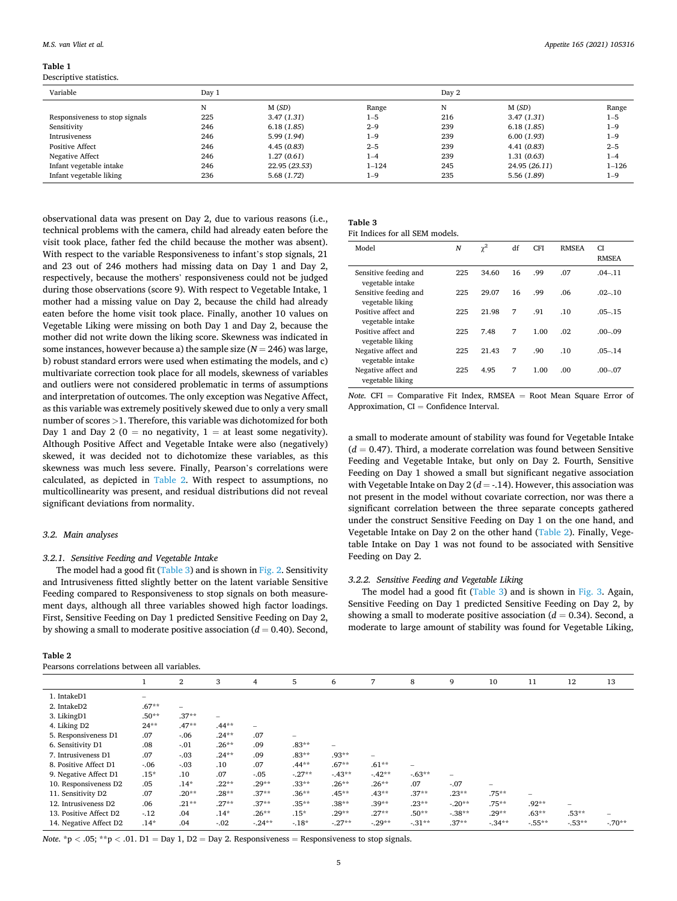#### <span id="page-4-0"></span>**Table 1**

Descriptive statistics.

| Variable                       | Day 1 |               |           | Day 2 |               |           |  |
|--------------------------------|-------|---------------|-----------|-------|---------------|-----------|--|
|                                | N     | M(SD)         | Range     | N     | M(SD)         | Range     |  |
| Responsiveness to stop signals | 225   | 3.47(1.31)    | $1 - 5$   | 216   | 3.47(1.31)    | $1 - 5$   |  |
| Sensitivity                    | 246   | 6.18(1.85)    | $2 - 9$   | 239   | 6.18(1.85)    | $1 - 9$   |  |
| Intrusiveness                  | 246   | 5.99(1.94)    | $1 - 9$   | 239   | 6.00(1.93)    | $1 - 9$   |  |
| <b>Positive Affect</b>         | 246   | 4.45(0.83)    | $2 - 5$   | 239   | 4.41(0.83)    | $2 - 5$   |  |
| Negative Affect                | 246   | 1.27(0.61)    | $1 - 4$   | 239   | 1.31(0.63)    | $1 - 4$   |  |
| Infant vegetable intake        | 246   | 22.95 (23.53) | $1 - 124$ | 245   | 24.95 (26.11) | $1 - 126$ |  |
| Infant vegetable liking        | 236   | 5.68(1.72)    | $1 - 9$   | 235   | 5.56 (1.89)   | $1 - 9$   |  |

observational data was present on Day 2, due to various reasons (i.e., technical problems with the camera, child had already eaten before the visit took place, father fed the child because the mother was absent). With respect to the variable Responsiveness to infant's stop signals, 21 and 23 out of 246 mothers had missing data on Day 1 and Day 2, respectively, because the mothers' responsiveness could not be judged during those observations (score 9). With respect to Vegetable Intake, 1 mother had a missing value on Day 2, because the child had already eaten before the home visit took place. Finally, another 10 values on Vegetable Liking were missing on both Day 1 and Day 2, because the mother did not write down the liking score. Skewness was indicated in some instances, however because a) the sample size  $(N = 246)$  was large, b) robust standard errors were used when estimating the models, and c) multivariate correction took place for all models, skewness of variables and outliers were not considered problematic in terms of assumptions and interpretation of outcomes. The only exception was Negative Affect, as this variable was extremely positively skewed due to only a very small number of scores *>*1. Therefore, this variable was dichotomized for both Day 1 and Day 2 ( $0 =$  no negativity,  $1 =$  at least some negativity). Although Positive Affect and Vegetable Intake were also (negatively) skewed, it was decided not to dichotomize these variables, as this skewness was much less severe. Finally, Pearson's correlations were calculated, as depicted in Table 2. With respect to assumptions, no multicollinearity was present, and residual distributions did not reveal significant deviations from normality.

#### *3.2. Main analyses*

## *3.2.1. Sensitive Feeding and Vegetable Intake*

The model had a good fit (Table 3) and is shown in [Fig. 2.](#page-5-0) Sensitivity and Intrusiveness fitted slightly better on the latent variable Sensitive Feeding compared to Responsiveness to stop signals on both measurement days, although all three variables showed high factor loadings. First, Sensitive Feeding on Day 1 predicted Sensitive Feeding on Day 2, by showing a small to moderate positive association  $(d = 0.40)$ . Second,

| ۰.<br>×<br>× |  |  |  |
|--------------|--|--|--|
|--------------|--|--|--|

| Pearsons correlations between all variables. |  |  |
|----------------------------------------------|--|--|
|                                              |  |  |

| Table 3  |  |  |         |  |
|----------|--|--|---------|--|
| $\cdots$ |  |  | 11.0733 |  |

| Fit Indices for all SEM models. |  |  |  |
|---------------------------------|--|--|--|
|                                 |  |  |  |

| Model                                     | N   | $\chi^2$ | df | <b>CFI</b> | <b>RMSEA</b> | CI.<br><b>RMSEA</b> |
|-------------------------------------------|-----|----------|----|------------|--------------|---------------------|
| Sensitive feeding and<br>vegetable intake | 225 | 34.60    | 16 | .99        | .07          | $.04 - .11$         |
| Sensitive feeding and<br>vegetable liking | 225 | 29.07    | 16 | .99        | .06          | $.02 - .10$         |
| Positive affect and<br>vegetable intake   | 225 | 21.98    | 7  | .91        | .10          | $.05 - .15$         |
| Positive affect and<br>vegetable liking   | 225 | 7.48     | 7  | 1.00       | .02          | $.00 - .09$         |
| Negative affect and<br>vegetable intake   | 225 | 21.43    | 7  | .90        | .10          | $.05 - .14$         |
| Negative affect and<br>vegetable liking   | 225 | 4.95     | 7  | 1.00       | .00.         | $.00 - .07$         |

*Note.* CFI = Comparative Fit Index, RMSEA = Root Mean Square Error of Approximation,  $CI =$  Confidence Interval.

a small to moderate amount of stability was found for Vegetable Intake  $(d = 0.47)$ . Third, a moderate correlation was found between Sensitive Feeding and Vegetable Intake, but only on Day 2. Fourth, Sensitive Feeding on Day 1 showed a small but significant negative association with Vegetable Intake on Day  $2(d = -14)$ . However, this association was not present in the model without covariate correction, nor was there a significant correlation between the three separate concepts gathered under the construct Sensitive Feeding on Day 1 on the one hand, and Vegetable Intake on Day 2 on the other hand (Table 2). Finally, Vegetable Intake on Day 1 was not found to be associated with Sensitive Feeding on Day 2.

#### *3.2.2. Sensitive Feeding and Vegetable Liking*

The model had a good fit (Table 3) and is shown in [Fig. 3.](#page-5-0) Again, Sensitive Feeding on Day 1 predicted Sensitive Feeding on Day 2, by showing a small to moderate positive association  $(d = 0.34)$ . Second, a moderate to large amount of stability was found for Vegetable Liking,

|                        |         | $\overline{2}$ | 3                        | 4       | 5        | 6        | 7                        | 8                        | 9                        | 10      | 11      | 12                       | 13      |
|------------------------|---------|----------------|--------------------------|---------|----------|----------|--------------------------|--------------------------|--------------------------|---------|---------|--------------------------|---------|
| 1. IntakeD1            |         |                |                          |         |          |          |                          |                          |                          |         |         |                          |         |
| 2. IntakeD2            | $.67**$ | -              |                          |         |          |          |                          |                          |                          |         |         |                          |         |
| 3. LikingD1            | $.50**$ | $.37**$        | $\overline{\phantom{m}}$ |         |          |          |                          |                          |                          |         |         |                          |         |
| 4. Liking D2           | $24**$  | $.47**$        | $.44**$                  | -       |          |          |                          |                          |                          |         |         |                          |         |
| 5. Responsiveness D1   | .07     | $-0.06$        | $.24***$                 | .07     |          |          |                          |                          |                          |         |         |                          |         |
| 6. Sensitivity D1      | .08     | $-.01$         | $.26***$                 | .09     | $.83**$  |          |                          |                          |                          |         |         |                          |         |
| 7. Intrusiveness D1    | .07     | $-.03$         | $.24***$                 | .09     | $.83**$  | $.93**$  | $\overline{\phantom{0}}$ |                          |                          |         |         |                          |         |
| 8. Positive Affect D1  | $-0.06$ | $-.03$         | .10                      | .07     | $.44**$  | $.67**$  | $.61**$                  | $\overline{\phantom{0}}$ |                          |         |         |                          |         |
| 9. Negative Affect D1  | $.15*$  | .10            | .07                      | $-.05$  | $-.27**$ | $-43**$  | $-42**$                  | $-63**$                  | $\overline{\phantom{0}}$ |         |         |                          |         |
| 10. Responsiveness D2  | .05     | $.14*$         | $.22**$                  | $.29**$ | $.33**$  | $.26***$ | $.26**$                  | .07                      | $-.07$                   |         |         |                          |         |
| 11. Sensitivity D2     | .07     | $.20**$        | $.28**$                  | $.37**$ | $.36**$  | $.45**$  | $.43**$                  | $.37**$                  | $.23**$                  | $.75**$ |         |                          |         |
| 12. Intrusiveness D2   | .06     | $.21***$       | $.27**$                  | $.37**$ | $.35**$  | $.38**$  | $.39**$                  | $.23**$                  | $-20**$                  | $.75**$ | $.92**$ | $\overline{\phantom{a}}$ |         |
| 13. Positive Affect D2 | $-12$   | .04            | $.14*$                   | $.26**$ | $.15*$   | $.29**$  | $.27**$                  | $.50**$                  | $-.38**$                 | $.29**$ | $.63**$ | $.53**$                  |         |
| 14. Negative Affect D2 | $.14*$  | .04            | $-.02$                   | $-24**$ | $-18*$   | $-.27**$ | $-29**$                  | $-31**$                  | $.37**$                  | $-34**$ | $-55**$ | $-53**$                  | $-70**$ |

*Note.*  $*$ p < .05;  $*$  $*$ p < .01. D1 = Day 1, D2 = Day 2. Responsiveness = Responsiveness to stop signals.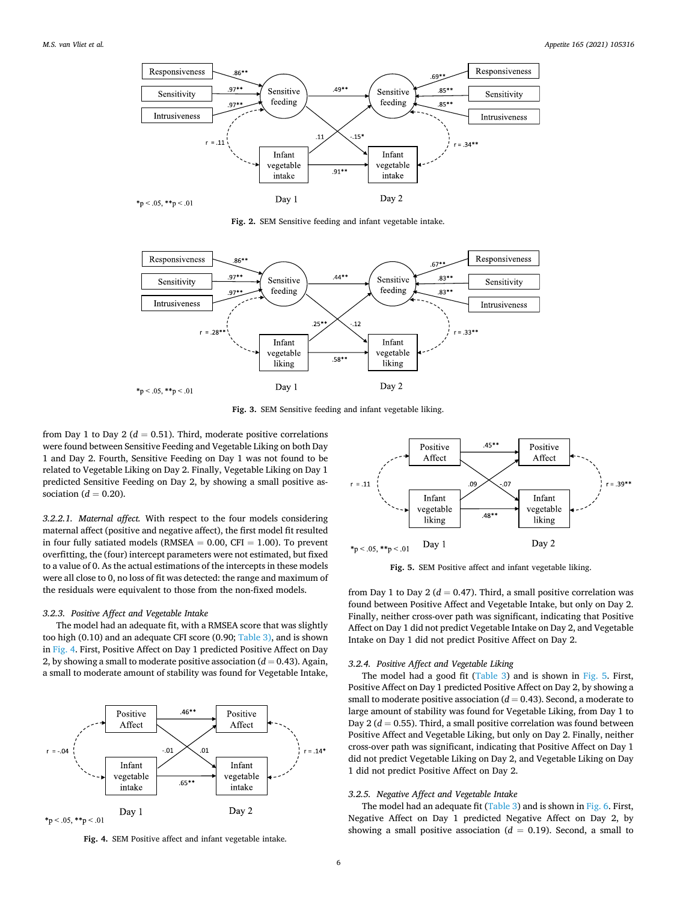<span id="page-5-0"></span>

**Fig. 2.** SEM Sensitive feeding and infant vegetable intake.



**Fig. 3.** SEM Sensitive feeding and infant vegetable liking.

from Day 1 to Day 2 ( $d = 0.51$ ). Third, moderate positive correlations were found between Sensitive Feeding and Vegetable Liking on both Day 1 and Day 2. Fourth, Sensitive Feeding on Day 1 was not found to be related to Vegetable Liking on Day 2. Finally, Vegetable Liking on Day 1 predicted Sensitive Feeding on Day 2, by showing a small positive association ( $d = 0.20$ ).

*3.2.2.1. Maternal affect.* With respect to the four models considering maternal affect (positive and negative affect), the first model fit resulted in four fully satiated models (RMSEA  $= 0.00$ , CFI  $= 1.00$ ). To prevent overfitting, the (four) intercept parameters were not estimated, but fixed to a value of 0. As the actual estimations of the intercepts in these models were all close to 0, no loss of fit was detected: the range and maximum of the residuals were equivalent to those from the non-fixed models.

#### *3.2.3. Positive Affect and Vegetable Intake*

The model had an adequate fit, with a RMSEA score that was slightly too high (0.10) and an adequate CFI score (0.90; [Table 3\),](#page-4-0) and is shown in Fig. 4. First, Positive Affect on Day 1 predicted Positive Affect on Day 2, by showing a small to moderate positive association  $(d = 0.43)$ . Again, a small to moderate amount of stability was found for Vegetable Intake,



**Fig. 4.** SEM Positive affect and infant vegetable intake.



**Fig. 5.** SEM Positive affect and infant vegetable liking.

from Day 1 to Day 2 ( $d = 0.47$ ). Third, a small positive correlation was found between Positive Affect and Vegetable Intake, but only on Day 2. Finally, neither cross-over path was significant, indicating that Positive Affect on Day 1 did not predict Vegetable Intake on Day 2, and Vegetable Intake on Day 1 did not predict Positive Affect on Day 2.

#### *3.2.4. Positive Affect and Vegetable Liking*

The model had a good fit [\(Table 3\)](#page-4-0) and is shown in Fig. 5. First, Positive Affect on Day 1 predicted Positive Affect on Day 2, by showing a small to moderate positive association  $(d = 0.43)$ . Second, a moderate to large amount of stability was found for Vegetable Liking, from Day 1 to Day 2 ( $d = 0.55$ ). Third, a small positive correlation was found between Positive Affect and Vegetable Liking, but only on Day 2. Finally, neither cross-over path was significant, indicating that Positive Affect on Day 1 did not predict Vegetable Liking on Day 2, and Vegetable Liking on Day 1 did not predict Positive Affect on Day 2.

#### *3.2.5. Negative Affect and Vegetable Intake*

The model had an adequate fit [\(Table 3](#page-4-0)) and is shown in [Fig. 6.](#page-6-0) First, Negative Affect on Day 1 predicted Negative Affect on Day 2, by showing a small positive association  $(d = 0.19)$ . Second, a small to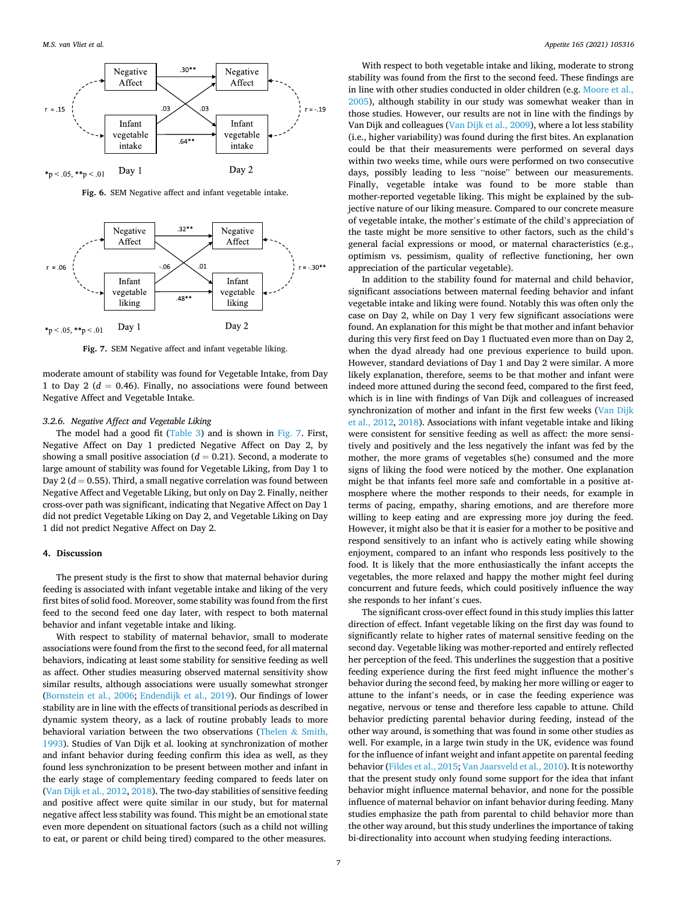<span id="page-6-0"></span>

**Fig. 6.** SEM Negative affect and infant vegetable intake.



**Fig. 7.** SEM Negative affect and infant vegetable liking.

moderate amount of stability was found for Vegetable Intake, from Day 1 to Day 2 ( $d = 0.46$ ). Finally, no associations were found between Negative Affect and Vegetable Intake.

#### *3.2.6. Negative Affect and Vegetable Liking*

The model had a good fit [\(Table 3\)](#page-4-0) and is shown in Fig. 7. First, Negative Affect on Day 1 predicted Negative Affect on Day 2, by showing a small positive association  $(d = 0.21)$ . Second, a moderate to large amount of stability was found for Vegetable Liking, from Day 1 to Day  $2(d = 0.55)$ . Third, a small negative correlation was found between Negative Affect and Vegetable Liking, but only on Day 2. Finally, neither cross-over path was significant, indicating that Negative Affect on Day 1 did not predict Vegetable Liking on Day 2, and Vegetable Liking on Day 1 did not predict Negative Affect on Day 2.

#### **4. Discussion**

The present study is the first to show that maternal behavior during feeding is associated with infant vegetable intake and liking of the very first bites of solid food. Moreover, some stability was found from the first feed to the second feed one day later, with respect to both maternal behavior and infant vegetable intake and liking.

With respect to stability of maternal behavior, small to moderate associations were found from the first to the second feed, for all maternal behaviors, indicating at least some stability for sensitive feeding as well as affect. Other studies measuring observed maternal sensitivity show similar results, although associations were usually somewhat stronger ([Bornstein et al., 2006](#page-8-0); [Endendijk et al., 2019](#page-9-0)). Our findings of lower stability are in line with the effects of transitional periods as described in dynamic system theory, as a lack of routine probably leads to more behavioral variation between the two observations ([Thelen](#page-9-0)  $\&$  Smith, [1993\)](#page-9-0). Studies of Van Dijk et al. looking at synchronization of mother and infant behavior during feeding confirm this idea as well, as they found less synchronization to be present between mother and infant in the early stage of complementary feeding compared to feeds later on ([Van Dijk et al., 2012, 2018\)](#page-9-0). The two-day stabilities of sensitive feeding and positive affect were quite similar in our study, but for maternal negative affect less stability was found. This might be an emotional state even more dependent on situational factors (such as a child not willing to eat, or parent or child being tired) compared to the other measures.

With respect to both vegetable intake and liking, moderate to strong stability was found from the first to the second feed. These findings are in line with other studies conducted in older children (e.g. [Moore et al.,](#page-9-0)  [2005\)](#page-9-0), although stability in our study was somewhat weaker than in those studies. However, our results are not in line with the findings by Van Dijk and colleagues [\(Van Dijk et al., 2009\)](#page-9-0), where a lot less stability (i.e., higher variability) was found during the first bites. An explanation could be that their measurements were performed on several days within two weeks time, while ours were performed on two consecutive days, possibly leading to less "noise" between our measurements. Finally, vegetable intake was found to be more stable than mother-reported vegetable liking. This might be explained by the subjective nature of our liking measure. Compared to our concrete measure of vegetable intake, the mother's estimate of the child's appreciation of the taste might be more sensitive to other factors, such as the child's general facial expressions or mood, or maternal characteristics (e.g., optimism vs. pessimism, quality of reflective functioning, her own appreciation of the particular vegetable).

In addition to the stability found for maternal and child behavior, significant associations between maternal feeding behavior and infant vegetable intake and liking were found. Notably this was often only the case on Day 2, while on Day 1 very few significant associations were found. An explanation for this might be that mother and infant behavior during this very first feed on Day 1 fluctuated even more than on Day 2, when the dyad already had one previous experience to build upon. However, standard deviations of Day 1 and Day 2 were similar. A more likely explanation, therefore, seems to be that mother and infant were indeed more attuned during the second feed, compared to the first feed, which is in line with findings of Van Dijk and colleagues of increased synchronization of mother and infant in the first few weeks (Van Dijk [et al., 2012](#page-9-0), [2018\)](#page-9-0). Associations with infant vegetable intake and liking were consistent for sensitive feeding as well as affect: the more sensitively and positively and the less negatively the infant was fed by the mother, the more grams of vegetables s(he) consumed and the more signs of liking the food were noticed by the mother. One explanation might be that infants feel more safe and comfortable in a positive atmosphere where the mother responds to their needs, for example in terms of pacing, empathy, sharing emotions, and are therefore more willing to keep eating and are expressing more joy during the feed. However, it might also be that it is easier for a mother to be positive and respond sensitively to an infant who is actively eating while showing enjoyment, compared to an infant who responds less positively to the food. It is likely that the more enthusiastically the infant accepts the vegetables, the more relaxed and happy the mother might feel during concurrent and future feeds, which could positively influence the way she responds to her infant's cues.

The significant cross-over effect found in this study implies this latter direction of effect. Infant vegetable liking on the first day was found to significantly relate to higher rates of maternal sensitive feeding on the second day. Vegetable liking was mother-reported and entirely reflected her perception of the feed. This underlines the suggestion that a positive feeding experience during the first feed might influence the mother's behavior during the second feed, by making her more willing or eager to attune to the infant's needs, or in case the feeding experience was negative, nervous or tense and therefore less capable to attune. Child behavior predicting parental behavior during feeding, instead of the other way around, is something that was found in some other studies as well. For example, in a large twin study in the UK, evidence was found for the influence of infant weight and infant appetite on parental feeding behavior [\(Fildes et al., 2015](#page-9-0); [Van Jaarsveld et al., 2010](#page-9-0)). It is noteworthy that the present study only found some support for the idea that infant behavior might influence maternal behavior, and none for the possible influence of maternal behavior on infant behavior during feeding. Many studies emphasize the path from parental to child behavior more than the other way around, but this study underlines the importance of taking bi-directionality into account when studying feeding interactions.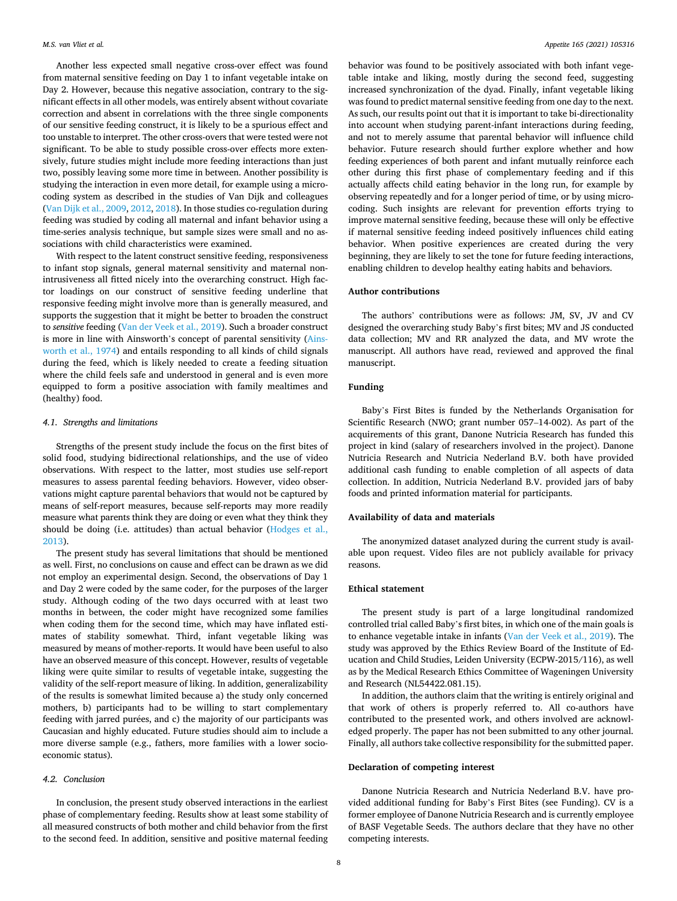Another less expected small negative cross-over effect was found from maternal sensitive feeding on Day 1 to infant vegetable intake on Day 2. However, because this negative association, contrary to the significant effects in all other models, was entirely absent without covariate correction and absent in correlations with the three single components of our sensitive feeding construct, it is likely to be a spurious effect and too unstable to interpret. The other cross-overs that were tested were not significant. To be able to study possible cross-over effects more extensively, future studies might include more feeding interactions than just two, possibly leaving some more time in between. Another possibility is studying the interaction in even more detail, for example using a microcoding system as described in the studies of Van Dijk and colleagues ([Van Dijk et al., 2009](#page-9-0), [2012, 2018\)](#page-9-0). In those studies co-regulation during feeding was studied by coding all maternal and infant behavior using a time-series analysis technique, but sample sizes were small and no associations with child characteristics were examined.

With respect to the latent construct sensitive feeding, responsiveness to infant stop signals, general maternal sensitivity and maternal nonintrusiveness all fitted nicely into the overarching construct. High factor loadings on our construct of sensitive feeding underline that responsive feeding might involve more than is generally measured, and supports the suggestion that it might be better to broaden the construct to *sensitive* feeding ([Van der Veek et al., 2019\)](#page-9-0). Such a broader construct is more in line with Ainsworth's concept of parental sensitivity ([Ains](#page-8-0)[worth et al., 1974](#page-8-0)) and entails responding to all kinds of child signals during the feed, which is likely needed to create a feeding situation where the child feels safe and understood in general and is even more equipped to form a positive association with family mealtimes and (healthy) food.

#### *4.1. Strengths and limitations*

Strengths of the present study include the focus on the first bites of solid food, studying bidirectional relationships, and the use of video observations. With respect to the latter, most studies use self-report measures to assess parental feeding behaviors. However, video observations might capture parental behaviors that would not be captured by means of self-report measures, because self-reports may more readily measure what parents think they are doing or even what they think they should be doing (i.e. attitudes) than actual behavior ([Hodges et al.,](#page-9-0)  [2013\)](#page-9-0).

The present study has several limitations that should be mentioned as well. First, no conclusions on cause and effect can be drawn as we did not employ an experimental design. Second, the observations of Day 1 and Day 2 were coded by the same coder, for the purposes of the larger study. Although coding of the two days occurred with at least two months in between, the coder might have recognized some families when coding them for the second time, which may have inflated estimates of stability somewhat. Third, infant vegetable liking was measured by means of mother-reports. It would have been useful to also have an observed measure of this concept. However, results of vegetable liking were quite similar to results of vegetable intake, suggesting the validity of the self-report measure of liking. In addition, generalizability of the results is somewhat limited because a) the study only concerned mothers, b) participants had to be willing to start complementary feeding with jarred purées, and c) the majority of our participants was Caucasian and highly educated. Future studies should aim to include a more diverse sample (e.g., fathers, more families with a lower socioeconomic status).

# *4.2. Conclusion*

In conclusion, the present study observed interactions in the earliest phase of complementary feeding. Results show at least some stability of all measured constructs of both mother and child behavior from the first to the second feed. In addition, sensitive and positive maternal feeding

behavior was found to be positively associated with both infant vegetable intake and liking, mostly during the second feed, suggesting increased synchronization of the dyad. Finally, infant vegetable liking was found to predict maternal sensitive feeding from one day to the next. As such, our results point out that it is important to take bi-directionality into account when studying parent-infant interactions during feeding, and not to merely assume that parental behavior will influence child behavior. Future research should further explore whether and how feeding experiences of both parent and infant mutually reinforce each other during this first phase of complementary feeding and if this actually affects child eating behavior in the long run, for example by observing repeatedly and for a longer period of time, or by using microcoding. Such insights are relevant for prevention efforts trying to improve maternal sensitive feeding, because these will only be effective if maternal sensitive feeding indeed positively influences child eating behavior. When positive experiences are created during the very beginning, they are likely to set the tone for future feeding interactions, enabling children to develop healthy eating habits and behaviors.

#### **Author contributions**

The authors' contributions were as follows: JM, SV, JV and CV designed the overarching study Baby's first bites; MV and JS conducted data collection; MV and RR analyzed the data, and MV wrote the manuscript. All authors have read, reviewed and approved the final manuscript.

#### **Funding**

Baby's First Bites is funded by the Netherlands Organisation for Scientific Research (NWO; grant number 057–14-002). As part of the acquirements of this grant, Danone Nutricia Research has funded this project in kind (salary of researchers involved in the project). Danone Nutricia Research and Nutricia Nederland B.V. both have provided additional cash funding to enable completion of all aspects of data collection. In addition, Nutricia Nederland B.V. provided jars of baby foods and printed information material for participants.

## **Availability of data and materials**

The anonymized dataset analyzed during the current study is available upon request. Video files are not publicly available for privacy reasons.

## **Ethical statement**

The present study is part of a large longitudinal randomized controlled trial called Baby's first bites, in which one of the main goals is to enhance vegetable intake in infants ([Van der Veek et al., 2019\)](#page-9-0). The study was approved by the Ethics Review Board of the Institute of Education and Child Studies, Leiden University (ECPW-2015/116), as well as by the Medical Research Ethics Committee of Wageningen University and Research (NL54422.081.15).

In addition, the authors claim that the writing is entirely original and that work of others is properly referred to. All co-authors have contributed to the presented work, and others involved are acknowledged properly. The paper has not been submitted to any other journal. Finally, all authors take collective responsibility for the submitted paper.

#### **Declaration of competing interest**

Danone Nutricia Research and Nutricia Nederland B.V. have provided additional funding for Baby's First Bites (see Funding). CV is a former employee of Danone Nutricia Research and is currently employee of BASF Vegetable Seeds. The authors declare that they have no other competing interests.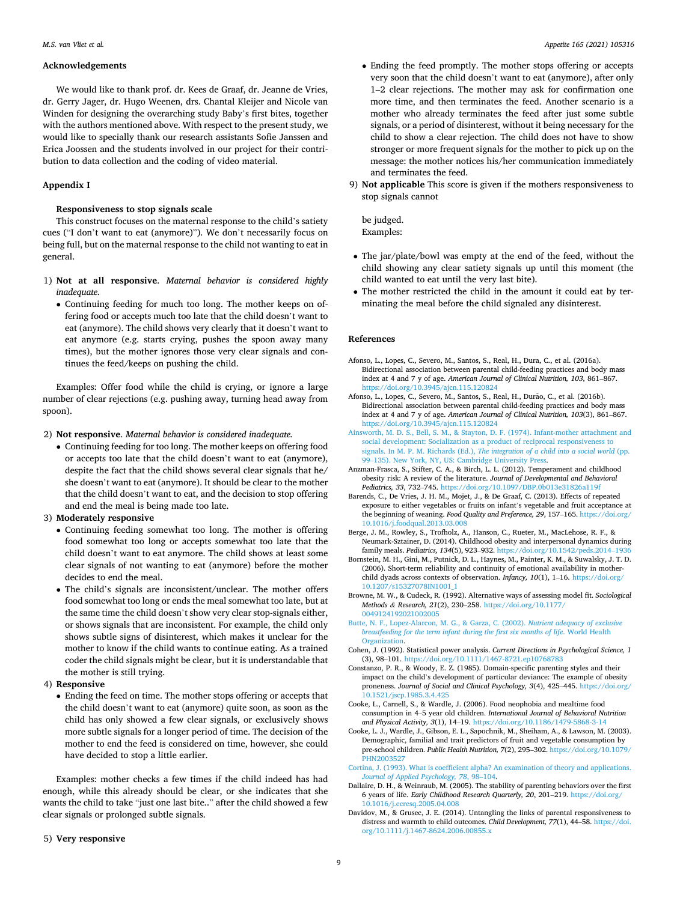#### <span id="page-8-0"></span>**Acknowledgements**

We would like to thank prof. dr. Kees de Graaf, dr. Jeanne de Vries, dr. Gerry Jager, dr. Hugo Weenen, drs. Chantal Kleijer and Nicole van Winden for designing the overarching study Baby's first bites, together with the authors mentioned above. With respect to the present study, we would like to specially thank our research assistants Sofie Janssen and Erica Joossen and the students involved in our project for their contribution to data collection and the coding of video material.

# **Appendix I**

# **Responsiveness to stop signals scale**

This construct focuses on the maternal response to the child's satiety cues ("I don't want to eat (anymore)"). We don't necessarily focus on being full, but on the maternal response to the child not wanting to eat in general.

- 1) **Not at all responsive**. *Maternal behavior is considered highly inadequate.* 
	- Continuing feeding for much too long. The mother keeps on offering food or accepts much too late that the child doesn't want to eat (anymore). The child shows very clearly that it doesn't want to eat anymore (e.g. starts crying, pushes the spoon away many times), but the mother ignores those very clear signals and continues the feed/keeps on pushing the child.

Examples: Offer food while the child is crying, or ignore a large number of clear rejections (e.g. pushing away, turning head away from spoon).

2) **Not responsive**. *Maternal behavior is considered inadequate.* 

• Continuing feeding for too long. The mother keeps on offering food or accepts too late that the child doesn't want to eat (anymore), despite the fact that the child shows several clear signals that he/ she doesn't want to eat (anymore). It should be clear to the mother that the child doesn't want to eat, and the decision to stop offering and end the meal is being made too late.

## 3) **Moderately responsive**

- Continuing feeding somewhat too long. The mother is offering food somewhat too long or accepts somewhat too late that the child doesn't want to eat anymore. The child shows at least some clear signals of not wanting to eat (anymore) before the mother decides to end the meal.
- The child's signals are inconsistent/unclear. The mother offers food somewhat too long or ends the meal somewhat too late, but at the same time the child doesn't show very clear stop-signals either, or shows signals that are inconsistent. For example, the child only shows subtle signs of disinterest, which makes it unclear for the mother to know if the child wants to continue eating. As a trained coder the child signals might be clear, but it is understandable that the mother is still trying.

## 4) **Responsive**

• Ending the feed on time. The mother stops offering or accepts that the child doesn't want to eat (anymore) quite soon, as soon as the child has only showed a few clear signals, or exclusively shows more subtle signals for a longer period of time. The decision of the mother to end the feed is considered on time, however, she could have decided to stop a little earlier.

Examples: mother checks a few times if the child indeed has had enough, while this already should be clear, or she indicates that she wants the child to take "just one last bite.." after the child showed a few clear signals or prolonged subtle signals.

5) **Very responsive** 

- Ending the feed promptly. The mother stops offering or accepts very soon that the child doesn't want to eat (anymore), after only 1–2 clear rejections. The mother may ask for confirmation one more time, and then terminates the feed. Another scenario is a mother who already terminates the feed after just some subtle signals, or a period of disinterest, without it being necessary for the child to show a clear rejection. The child does not have to show stronger or more frequent signals for the mother to pick up on the message: the mother notices his/her communication immediately and terminates the feed.
- 9) **Not applicable** This score is given if the mothers responsiveness to stop signals cannot

be judged. Examples:

- The jar/plate/bowl was empty at the end of the feed, without the child showing any clear satiety signals up until this moment (the child wanted to eat until the very last bite).
- The mother restricted the child in the amount it could eat by terminating the meal before the child signaled any disinterest.

# **References**

- Afonso, L., Lopes, C., Severo, M., Santos, S., Real, H., Dura, C., et al. (2016a). Bidirectional association between parental child-feeding practices and body mass index at 4 and 7 y of age. *American Journal of Clinical Nutrition, 103*, 861–867. <https://doi.org/10.3945/ajcn.115.120824>
- Afonso, L., Lopes, C., Severo, M., Santos, S., Real, H., Durão, C., et al. (2016b). Bidirectional association between parental child-feeding practices and body mass index at 4 and 7 y of age. *American Journal of Clinical Nutrition, 103*(3), 861–867. <https://doi.org/10.3945/ajcn.115.120824>
- [Ainsworth, M. D. S., Bell, S. M., & Stayton, D. F. \(1974\). Infant-mother attachment and](http://refhub.elsevier.com/S0195-6663(21)00223-3/sref3)  [social development: Socialization as a product of reciprocal responsiveness to](http://refhub.elsevier.com/S0195-6663(21)00223-3/sref3)  signals. In M. P. M. Richards (Ed.), *[The integration of a child into a social world](http://refhub.elsevier.com/S0195-6663(21)00223-3/sref3)* (pp. 99–[135\). New York, NY, US: Cambridge University Press.](http://refhub.elsevier.com/S0195-6663(21)00223-3/sref3)
- Anzman-Frasca, S., Stifter, C. A., & Birch, L. L. (2012). Temperament and childhood obesity risk: A review of the literature. *Journal of Developmental and Behavioral Pediatrics, 33*, 732–745. <https://doi.org/10.1097/DBP.0b013e31826a119f>
- Barends, C., De Vries, J. H. M., Mojet, J., & De Graaf, C. (2013). Effects of repeated exposure to either vegetables or fruits on infant's vegetable and fruit acceptance at the beginning of weaning. *Food Quality and Preference, 29*, 157–165. [https://doi.org/](https://doi.org/10.1016/j.foodqual.2013.03.008)  [10.1016/j.foodqual.2013.03.008](https://doi.org/10.1016/j.foodqual.2013.03.008)
- Berge, J. M., Rowley, S., Trofholz, A., Hanson, C., Rueter, M., MacLehose, R. F., & Neumark-Sztainer, D. (2014). Childhood obesity and interpersonal dynamics during family meals. *Pediatrics, 134*(5), 923–932. [https://doi.org/10.1542/peds.2014](https://doi.org/10.1542/peds.2014–1936)–1936
- Bornstein, M. H., Gini, M., Putnick, D. L., Haynes, M., Painter, K. M., & Suwalsky, J. T. D. (2006). Short-term reliability and continuity of emotional availability in motherchild dyads across contexts of observation. *Infancy, 10*(1), 1–16. [https://doi.org/](https://doi.org/10.1207/s15327078IN1001_1) [10.1207/s15327078IN1001\\_1](https://doi.org/10.1207/s15327078IN1001_1)
- Browne, M. W., & Cudeck, R. (1992). Alternative ways of assessing model fit. *Sociological Methods & Research, 21*(2), 230–258. [https://doi.org/10.1177/](https://doi.org/10.1177/0049124192021002005)  [0049124192021002005](https://doi.org/10.1177/0049124192021002005)
- [Butte, N. F., Lopez-Alarcon, M. G., & Garza, C. \(2002\).](http://refhub.elsevier.com/S0195-6663(21)00223-3/sref9) *Nutrient adequacy of exclusive [breastfeeding for the term infant during the first six months of life](http://refhub.elsevier.com/S0195-6663(21)00223-3/sref9)*. World Health [Organization](http://refhub.elsevier.com/S0195-6663(21)00223-3/sref9).
- Cohen, J. (1992). Statistical power analysis. *Current Directions in Psychological Science, 1*  (3), 98–101. <https://doi.org/10.1111/1467-8721.ep10768783>
- Constanzo, P. R., & Woody, E. Z. (1985). Domain-specific parenting styles and their impact on the child's development of particular deviance: The example of obesity proneness. *Journal of Social and Clinical Psychology, 3*(4), 425–445. [https://doi.org/](https://doi.org/10.1521/jscp.1985.3.4.425)  [10.1521/jscp.1985.3.4.425](https://doi.org/10.1521/jscp.1985.3.4.425)
- Cooke, L., Carnell, S., & Wardle, J. (2006). Food neophobia and mealtime food consumption in 4–5 year old children. *International Journal of Behavioral Nutrition and Physical Activity, 3*(1), 14–19.<https://doi.org/10.1186/1479-5868-3-14>
- Cooke, L. J., Wardle, J., Gibson, E. L., Sapochnik, M., Sheiham, A., & Lawson, M. (2003). Demographic, familial and trait predictors of fruit and vegetable consumption by pre-school children. *Public Health Nutrition, 7*(2), 295–302. [https://doi.org/10.1079/](https://doi.org/10.1079/PHN2003527)  [PHN2003527](https://doi.org/10.1079/PHN2003527)
- [Cortina, J. \(1993\). What is coefficient alpha? An examination of theory and applications.](http://refhub.elsevier.com/S0195-6663(21)00223-3/sref14)  *[Journal of Applied Psychology, 78](http://refhub.elsevier.com/S0195-6663(21)00223-3/sref14)*, 98–104.
- Dallaire, D. H., & Weinraub, M. (2005). The stability of parenting behaviors over the first 6 years of life. *Early Childhood Research Quarterly, 20*, 201–219. [https://doi.org/](https://doi.org/10.1016/j.ecresq.2005.04.008)  [10.1016/j.ecresq.2005.04.008](https://doi.org/10.1016/j.ecresq.2005.04.008)
- Davidov, M., & Grusec, J. E. (2014). Untangling the links of parental responsiveness to distress and warmth to child outcomes. *Child Development, 77*(1), 44–58. [https://doi.](https://doi.org/10.1111/j.1467-8624.2006.00855.x)  [org/10.1111/j.1467-8624.2006.00855.x](https://doi.org/10.1111/j.1467-8624.2006.00855.x)